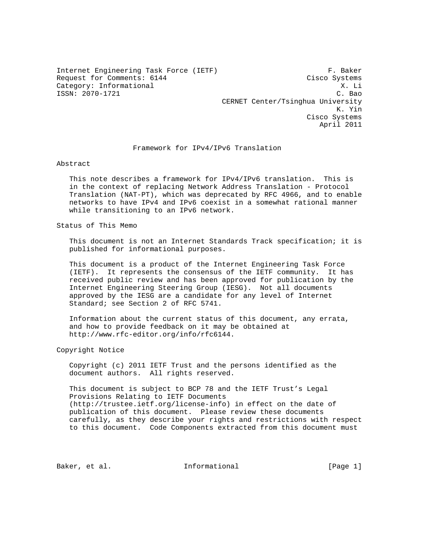Internet Engineering Task Force (IETF) F. Baker<br>Request for Comments: 6144 Cisco Systems Request for Comments: 6144 Category: Informational X. Li ISSN: 2070-1721 C. Bao

 CERNET Center/Tsinghua University K. Yin Cisco Systems April 2011

#### Framework for IPv4/IPv6 Translation

Abstract

 This note describes a framework for IPv4/IPv6 translation. This is in the context of replacing Network Address Translation - Protocol Translation (NAT-PT), which was deprecated by RFC 4966, and to enable networks to have IPv4 and IPv6 coexist in a somewhat rational manner while transitioning to an IPv6 network.

Status of This Memo

 This document is not an Internet Standards Track specification; it is published for informational purposes.

 This document is a product of the Internet Engineering Task Force (IETF). It represents the consensus of the IETF community. It has received public review and has been approved for publication by the Internet Engineering Steering Group (IESG). Not all documents approved by the IESG are a candidate for any level of Internet Standard; see Section 2 of RFC 5741.

 Information about the current status of this document, any errata, and how to provide feedback on it may be obtained at http://www.rfc-editor.org/info/rfc6144.

Copyright Notice

 Copyright (c) 2011 IETF Trust and the persons identified as the document authors. All rights reserved.

 This document is subject to BCP 78 and the IETF Trust's Legal Provisions Relating to IETF Documents (http://trustee.ietf.org/license-info) in effect on the date of publication of this document. Please review these documents carefully, as they describe your rights and restrictions with respect to this document. Code Components extracted from this document must

Baker, et al. 10 Informational [Page 1]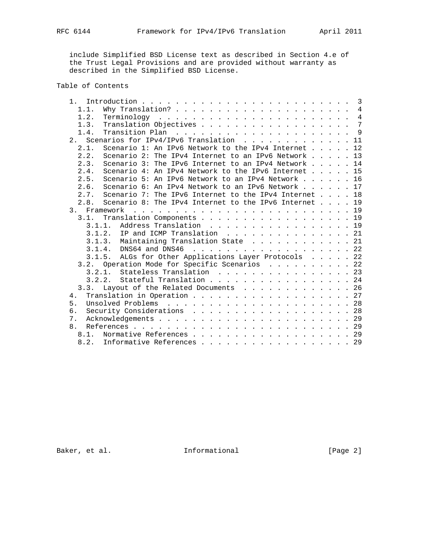include Simplified BSD License text as described in Section 4.e of the Trust Legal Provisions and are provided without warranty as described in the Simplified BSD License.

# Table of Contents

| $1$ .                                                                |  |  |  |
|----------------------------------------------------------------------|--|--|--|
| 1.1.                                                                 |  |  |  |
| 1.2.                                                                 |  |  |  |
| Translation Objectives 7<br>1.3.                                     |  |  |  |
| 1.4.                                                                 |  |  |  |
| Scenarios for IPv4/IPv6 Translation 11<br>2.                         |  |  |  |
| Scenario 1: An IPv6 Network to the IPv4 Internet 12<br>2.1.          |  |  |  |
| Scenario 2: The IPv4 Internet to an IPv6 Network 13<br>2.2.          |  |  |  |
| Scenario 3: The IPv6 Internet to an IPv4 Network $\ldots$ 14<br>2.3. |  |  |  |
| Scenario 4: An IPv4 Network to the IPv6 Internet $\ldots$ 15<br>2.4. |  |  |  |
| Scenario 5: An IPv6 Network to an IPv4 Network 16<br>2.5.            |  |  |  |
| Scenario 6: An IPv4 Network to an IPv6 Network 17<br>2.6.            |  |  |  |
| Scenario 7: The IPv6 Internet to the IPv4 Internet 18<br>2.7.        |  |  |  |
| Scenario 8: The IPv4 Internet to the IPv6 Internet 19<br>2.8.        |  |  |  |
|                                                                      |  |  |  |
| Translation Components 19<br>3.1.                                    |  |  |  |
| 3.1.1. Address Translation 19                                        |  |  |  |
| 3.1.2. IP and ICMP Translation 21                                    |  |  |  |
| 3.1.3. Maintaining Translation State 21                              |  |  |  |
| 3.1.4. DNS64 and DNS46 22                                            |  |  |  |
| 3.1.5. ALGs for Other Applications Layer Protocols 22                |  |  |  |
| 3.2. Operation Mode for Specific Scenarios 22                        |  |  |  |
| Stateless Translation 23<br>3.2.1.                                   |  |  |  |
| Stateful Translation 24<br>3.2.2.                                    |  |  |  |
| Layout of the Related Documents 26<br>3.3.                           |  |  |  |
| Translation in Operation 27<br>4.                                    |  |  |  |
| 5.                                                                   |  |  |  |
| Security Considerations 28<br>б.                                     |  |  |  |
| 7.                                                                   |  |  |  |
| 8.                                                                   |  |  |  |
| Normative References 29<br>8.1.                                      |  |  |  |
| 8.2. Informative References 29                                       |  |  |  |

Baker, et al. 1nformational [Page 2]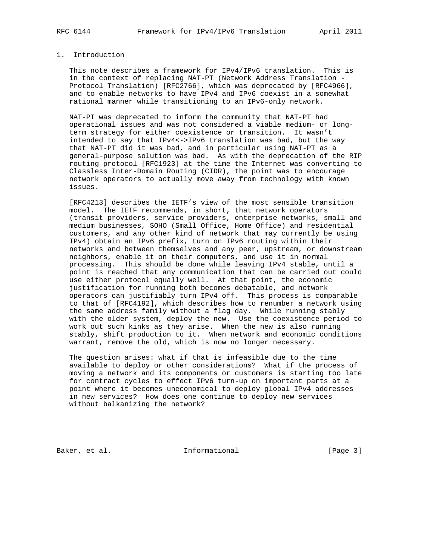## 1. Introduction

 This note describes a framework for IPv4/IPv6 translation. This is in the context of replacing NAT-PT (Network Address Translation - Protocol Translation) [RFC2766], which was deprecated by [RFC4966], and to enable networks to have IPv4 and IPv6 coexist in a somewhat rational manner while transitioning to an IPv6-only network.

 NAT-PT was deprecated to inform the community that NAT-PT had operational issues and was not considered a viable medium- or long term strategy for either coexistence or transition. It wasn't intended to say that IPv4<->IPv6 translation was bad, but the way that NAT-PT did it was bad, and in particular using NAT-PT as a general-purpose solution was bad. As with the deprecation of the RIP routing protocol [RFC1923] at the time the Internet was converting to Classless Inter-Domain Routing (CIDR), the point was to encourage network operators to actually move away from technology with known issues.

 [RFC4213] describes the IETF's view of the most sensible transition model. The IETF recommends, in short, that network operators (transit providers, service providers, enterprise networks, small and medium businesses, SOHO (Small Office, Home Office) and residential customers, and any other kind of network that may currently be using IPv4) obtain an IPv6 prefix, turn on IPv6 routing within their networks and between themselves and any peer, upstream, or downstream neighbors, enable it on their computers, and use it in normal processing. This should be done while leaving IPv4 stable, until a point is reached that any communication that can be carried out could use either protocol equally well. At that point, the economic justification for running both becomes debatable, and network operators can justifiably turn IPv4 off. This process is comparable to that of [RFC4192], which describes how to renumber a network using the same address family without a flag day. While running stably with the older system, deploy the new. Use the coexistence period to work out such kinks as they arise. When the new is also running stably, shift production to it. When network and economic conditions warrant, remove the old, which is now no longer necessary.

 The question arises: what if that is infeasible due to the time available to deploy or other considerations? What if the process of moving a network and its components or customers is starting too late for contract cycles to effect IPv6 turn-up on important parts at a point where it becomes uneconomical to deploy global IPv4 addresses in new services? How does one continue to deploy new services without balkanizing the network?

Baker, et al. 1nformational [Page 3]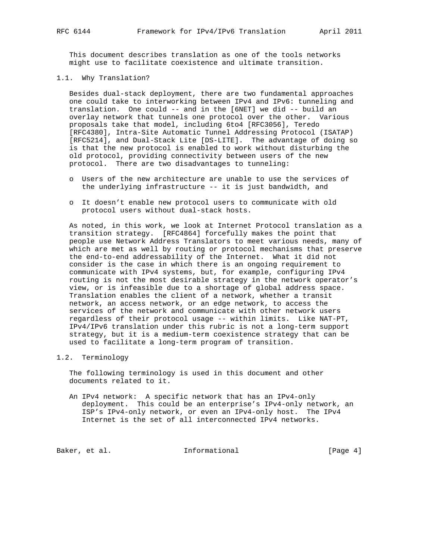This document describes translation as one of the tools networks might use to facilitate coexistence and ultimate transition.

#### 1.1. Why Translation?

 Besides dual-stack deployment, there are two fundamental approaches one could take to interworking between IPv4 and IPv6: tunneling and translation. One could -- and in the [6NET] we did -- build an overlay network that tunnels one protocol over the other. Various proposals take that model, including 6to4 [RFC3056], Teredo [RFC4380], Intra-Site Automatic Tunnel Addressing Protocol (ISATAP) [RFC5214], and Dual-Stack Lite [DS-LITE]. The advantage of doing so is that the new protocol is enabled to work without disturbing the old protocol, providing connectivity between users of the new protocol. There are two disadvantages to tunneling:

- o Users of the new architecture are unable to use the services of the underlying infrastructure -- it is just bandwidth, and
- o It doesn't enable new protocol users to communicate with old protocol users without dual-stack hosts.

 As noted, in this work, we look at Internet Protocol translation as a transition strategy. [RFC4864] forcefully makes the point that people use Network Address Translators to meet various needs, many of which are met as well by routing or protocol mechanisms that preserve the end-to-end addressability of the Internet. What it did not consider is the case in which there is an ongoing requirement to communicate with IPv4 systems, but, for example, configuring IPv4 routing is not the most desirable strategy in the network operator's view, or is infeasible due to a shortage of global address space. Translation enables the client of a network, whether a transit network, an access network, or an edge network, to access the services of the network and communicate with other network users regardless of their protocol usage -- within limits. Like NAT-PT, IPv4/IPv6 translation under this rubric is not a long-term support strategy, but it is a medium-term coexistence strategy that can be used to facilitate a long-term program of transition.

#### 1.2. Terminology

 The following terminology is used in this document and other documents related to it.

 An IPv4 network: A specific network that has an IPv4-only deployment. This could be an enterprise's IPv4-only network, an ISP's IPv4-only network, or even an IPv4-only host. The IPv4 Internet is the set of all interconnected IPv4 networks.

Baker, et al. 1nformational [Page 4]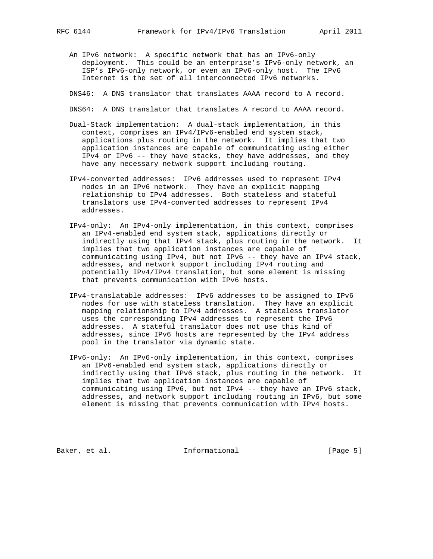An IPv6 network: A specific network that has an IPv6-only deployment. This could be an enterprise's IPv6-only network, an ISP's IPv6-only network, or even an IPv6-only host. The IPv6 Internet is the set of all interconnected IPv6 networks.

DNS46: A DNS translator that translates AAAA record to A record.

DNS64: A DNS translator that translates A record to AAAA record.

- Dual-Stack implementation: A dual-stack implementation, in this context, comprises an IPv4/IPv6-enabled end system stack, applications plus routing in the network. It implies that two application instances are capable of communicating using either IPv4 or IPv6 -- they have stacks, they have addresses, and they have any necessary network support including routing.
- IPv4-converted addresses: IPv6 addresses used to represent IPv4 nodes in an IPv6 network. They have an explicit mapping relationship to IPv4 addresses. Both stateless and stateful translators use IPv4-converted addresses to represent IPv4 addresses.
- IPv4-only: An IPv4-only implementation, in this context, comprises an IPv4-enabled end system stack, applications directly or indirectly using that IPv4 stack, plus routing in the network. It implies that two application instances are capable of communicating using IPv4, but not IPv6 -- they have an IPv4 stack, addresses, and network support including IPv4 routing and potentially IPv4/IPv4 translation, but some element is missing that prevents communication with IPv6 hosts.
- IPv4-translatable addresses: IPv6 addresses to be assigned to IPv6 nodes for use with stateless translation. They have an explicit mapping relationship to IPv4 addresses. A stateless translator uses the corresponding IPv4 addresses to represent the IPv6 addresses. A stateful translator does not use this kind of addresses, since IPv6 hosts are represented by the IPv4 address pool in the translator via dynamic state.
- IPv6-only: An IPv6-only implementation, in this context, comprises an IPv6-enabled end system stack, applications directly or indirectly using that IPv6 stack, plus routing in the network. It implies that two application instances are capable of communicating using IPv6, but not IPv4 -- they have an IPv6 stack, addresses, and network support including routing in IPv6, but some element is missing that prevents communication with IPv4 hosts.

Baker, et al. 1nformational [Page 5]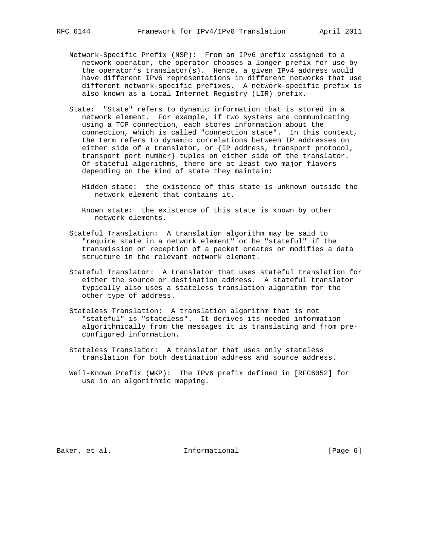- Network-Specific Prefix (NSP): From an IPv6 prefix assigned to a network operator, the operator chooses a longer prefix for use by the operator's translator(s). Hence, a given IPv4 address would have different IPv6 representations in different networks that use different network-specific prefixes. A network-specific prefix is also known as a Local Internet Registry (LIR) prefix.
- State: "State" refers to dynamic information that is stored in a network element. For example, if two systems are communicating using a TCP connection, each stores information about the connection, which is called "connection state". In this context, the term refers to dynamic correlations between IP addresses on either side of a translator, or {IP address, transport protocol, transport port number} tuples on either side of the translator. Of stateful algorithms, there are at least two major flavors depending on the kind of state they maintain:
	- Hidden state: the existence of this state is unknown outside the network element that contains it.
	- Known state: the existence of this state is known by other network elements.
- Stateful Translation: A translation algorithm may be said to "require state in a network element" or be "stateful" if the transmission or reception of a packet creates or modifies a data structure in the relevant network element.
- Stateful Translator: A translator that uses stateful translation for either the source or destination address. A stateful translator typically also uses a stateless translation algorithm for the other type of address.
- Stateless Translation: A translation algorithm that is not "stateful" is "stateless". It derives its needed information algorithmically from the messages it is translating and from pre configured information.
- Stateless Translator: A translator that uses only stateless translation for both destination address and source address.
- Well-Known Prefix (WKP): The IPv6 prefix defined in [RFC6052] for use in an algorithmic mapping.

Baker, et al. 1nformational [Page 6]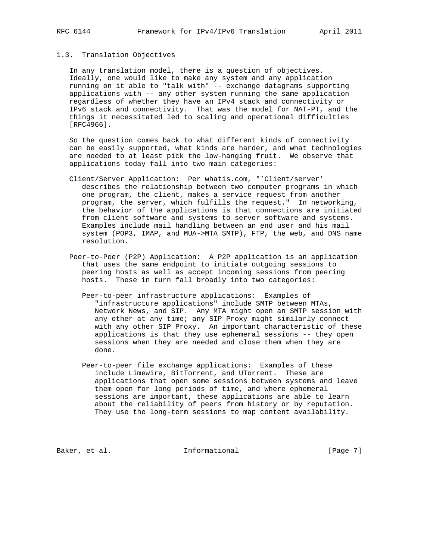#### 1.3. Translation Objectives

 In any translation model, there is a question of objectives. Ideally, one would like to make any system and any application running on it able to "talk with" -- exchange datagrams supporting applications with -- any other system running the same application regardless of whether they have an IPv4 stack and connectivity or IPv6 stack and connectivity. That was the model for NAT-PT, and the things it necessitated led to scaling and operational difficulties [RFC4966].

 So the question comes back to what different kinds of connectivity can be easily supported, what kinds are harder, and what technologies are needed to at least pick the low-hanging fruit. We observe that applications today fall into two main categories:

- Client/Server Application: Per whatis.com, "'Client/server' describes the relationship between two computer programs in which one program, the client, makes a service request from another program, the server, which fulfills the request." In networking, the behavior of the applications is that connections are initiated from client software and systems to server software and systems. Examples include mail handling between an end user and his mail system (POP3, IMAP, and MUA->MTA SMTP), FTP, the web, and DNS name resolution.
- Peer-to-Peer (P2P) Application: A P2P application is an application that uses the same endpoint to initiate outgoing sessions to peering hosts as well as accept incoming sessions from peering hosts. These in turn fall broadly into two categories:
	- Peer-to-peer infrastructure applications: Examples of "infrastructure applications" include SMTP between MTAs, Network News, and SIP. Any MTA might open an SMTP session with any other at any time; any SIP Proxy might similarly connect with any other SIP Proxy. An important characteristic of these applications is that they use ephemeral sessions -- they open sessions when they are needed and close them when they are done.
	- Peer-to-peer file exchange applications: Examples of these include Limewire, BitTorrent, and UTorrent. These are applications that open some sessions between systems and leave them open for long periods of time, and where ephemeral sessions are important, these applications are able to learn about the reliability of peers from history or by reputation. They use the long-term sessions to map content availability.

Baker, et al. 1nformational [Page 7]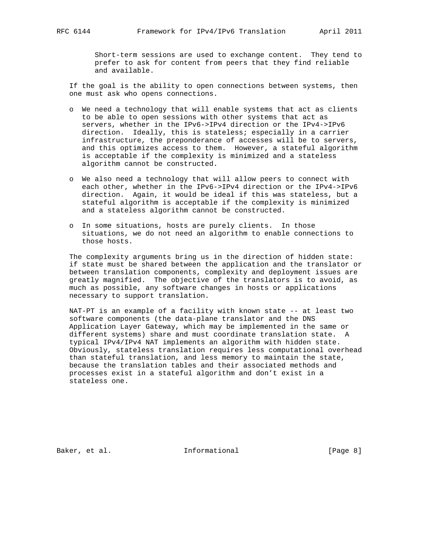Short-term sessions are used to exchange content. They tend to prefer to ask for content from peers that they find reliable and available.

 If the goal is the ability to open connections between systems, then one must ask who opens connections.

- o We need a technology that will enable systems that act as clients to be able to open sessions with other systems that act as servers, whether in the IPv6->IPv4 direction or the IPv4->IPv6 direction. Ideally, this is stateless; especially in a carrier infrastructure, the preponderance of accesses will be to servers, and this optimizes access to them. However, a stateful algorithm is acceptable if the complexity is minimized and a stateless algorithm cannot be constructed.
- o We also need a technology that will allow peers to connect with each other, whether in the IPv6->IPv4 direction or the IPv4->IPv6 direction. Again, it would be ideal if this was stateless, but a stateful algorithm is acceptable if the complexity is minimized and a stateless algorithm cannot be constructed.
- o In some situations, hosts are purely clients. In those situations, we do not need an algorithm to enable connections to those hosts.

 The complexity arguments bring us in the direction of hidden state: if state must be shared between the application and the translator or between translation components, complexity and deployment issues are greatly magnified. The objective of the translators is to avoid, as much as possible, any software changes in hosts or applications necessary to support translation.

 NAT-PT is an example of a facility with known state -- at least two software components (the data-plane translator and the DNS Application Layer Gateway, which may be implemented in the same or different systems) share and must coordinate translation state. A typical IPv4/IPv4 NAT implements an algorithm with hidden state. Obviously, stateless translation requires less computational overhead than stateful translation, and less memory to maintain the state, because the translation tables and their associated methods and processes exist in a stateful algorithm and don't exist in a stateless one.

Baker, et al. 1nformational [Page 8]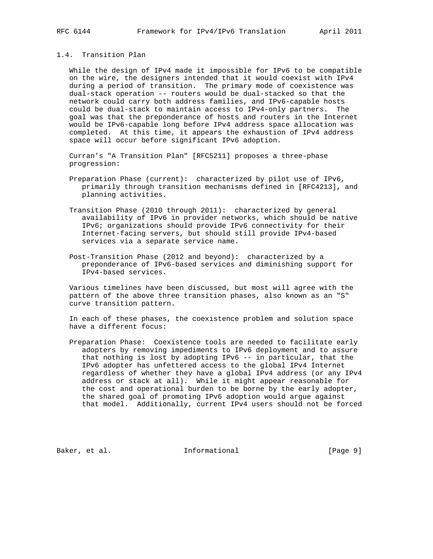## 1.4. Transition Plan

 While the design of IPv4 made it impossible for IPv6 to be compatible on the wire, the designers intended that it would coexist with IPv4 during a period of transition. The primary mode of coexistence was dual-stack operation -- routers would be dual-stacked so that the network could carry both address families, and IPv6-capable hosts could be dual-stack to maintain access to IPv4-only partners. The goal was that the preponderance of hosts and routers in the Internet would be IPv6-capable long before IPv4 address space allocation was completed. At this time, it appears the exhaustion of IPv4 address space will occur before significant IPv6 adoption.

 Curran's "A Transition Plan" [RFC5211] proposes a three-phase progression:

- Preparation Phase (current): characterized by pilot use of IPv6, primarily through transition mechanisms defined in [RFC4213], and planning activities.
- Transition Phase (2010 through 2011): characterized by general availability of IPv6 in provider networks, which should be native IPv6; organizations should provide IPv6 connectivity for their Internet-facing servers, but should still provide IPv4-based services via a separate service name.
- Post-Transition Phase (2012 and beyond): characterized by a preponderance of IPv6-based services and diminishing support for IPv4-based services.

 Various timelines have been discussed, but most will agree with the pattern of the above three transition phases, also known as an "S" curve transition pattern.

 In each of these phases, the coexistence problem and solution space have a different focus:

 Preparation Phase: Coexistence tools are needed to facilitate early adopters by removing impediments to IPv6 deployment and to assure that nothing is lost by adopting IPv6 -- in particular, that the IPv6 adopter has unfettered access to the global IPv4 Internet regardless of whether they have a global IPv4 address (or any IPv4 address or stack at all). While it might appear reasonable for the cost and operational burden to be borne by the early adopter, the shared goal of promoting IPv6 adoption would argue against that model. Additionally, current IPv4 users should not be forced

Baker, et al. The Informational The same (Page 9)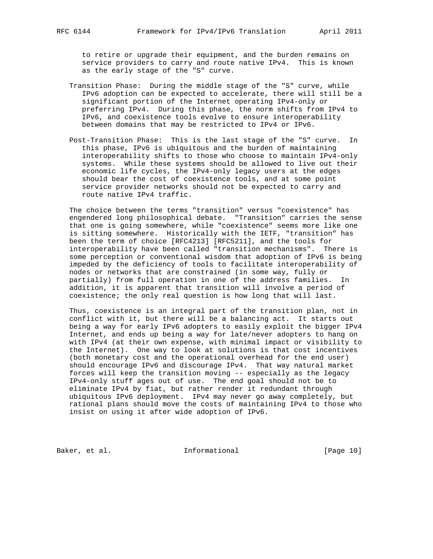to retire or upgrade their equipment, and the burden remains on service providers to carry and route native IPv4. This is known as the early stage of the "S" curve.

- Transition Phase: During the middle stage of the "S" curve, while IPv6 adoption can be expected to accelerate, there will still be a significant portion of the Internet operating IPv4-only or preferring IPv4. During this phase, the norm shifts from IPv4 to IPv6, and coexistence tools evolve to ensure interoperability between domains that may be restricted to IPv4 or IPv6.
- Post-Transition Phase: This is the last stage of the "S" curve. In this phase, IPv6 is ubiquitous and the burden of maintaining interoperability shifts to those who choose to maintain IPv4-only systems. While these systems should be allowed to live out their economic life cycles, the IPv4-only legacy users at the edges should bear the cost of coexistence tools, and at some point service provider networks should not be expected to carry and route native IPv4 traffic.

 The choice between the terms "transition" versus "coexistence" has engendered long philosophical debate. "Transition" carries the sense that one is going somewhere, while "coexistence" seems more like one is sitting somewhere. Historically with the IETF, "transition" has been the term of choice [RFC4213] [RFC5211], and the tools for interoperability have been called "transition mechanisms". There is some perception or conventional wisdom that adoption of IPv6 is being impeded by the deficiency of tools to facilitate interoperability of nodes or networks that are constrained (in some way, fully or partially) from full operation in one of the address families. In addition, it is apparent that transition will involve a period of coexistence; the only real question is how long that will last.

 Thus, coexistence is an integral part of the transition plan, not in conflict with it, but there will be a balancing act. It starts out being a way for early IPv6 adopters to easily exploit the bigger IPv4 Internet, and ends up being a way for late/never adopters to hang on with IPv4 (at their own expense, with minimal impact or visibility to the Internet). One way to look at solutions is that cost incentives (both monetary cost and the operational overhead for the end user) should encourage IPv6 and discourage IPv4. That way natural market forces will keep the transition moving -- especially as the legacy IPv4-only stuff ages out of use. The end goal should not be to eliminate IPv4 by fiat, but rather render it redundant through ubiquitous IPv6 deployment. IPv4 may never go away completely, but rational plans should move the costs of maintaining IPv4 to those who insist on using it after wide adoption of IPv6.

Baker, et al. 1nformational [Page 10]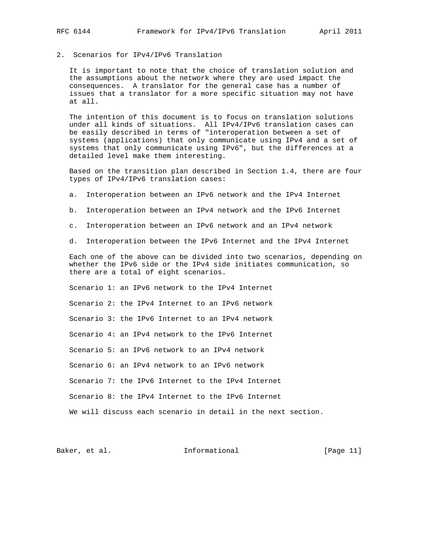2. Scenarios for IPv4/IPv6 Translation

 It is important to note that the choice of translation solution and the assumptions about the network where they are used impact the consequences. A translator for the general case has a number of issues that a translator for a more specific situation may not have at all.

 The intention of this document is to focus on translation solutions under all kinds of situations. All IPv4/IPv6 translation cases can be easily described in terms of "interoperation between a set of systems (applications) that only communicate using IPv4 and a set of systems that only communicate using IPv6", but the differences at a detailed level make them interesting.

 Based on the transition plan described in Section 1.4, there are four types of IPv4/IPv6 translation cases:

a. Interoperation between an IPv6 network and the IPv4 Internet

- b. Interoperation between an IPv4 network and the IPv6 Internet
- c. Interoperation between an IPv6 network and an IPv4 network
- d. Interoperation between the IPv6 Internet and the IPv4 Internet

 Each one of the above can be divided into two scenarios, depending on whether the IPv6 side or the IPv4 side initiates communication, so there are a total of eight scenarios.

 Scenario 1: an IPv6 network to the IPv4 Internet Scenario 2: the IPv4 Internet to an IPv6 network Scenario 3: the IPv6 Internet to an IPv4 network Scenario 4: an IPv4 network to the IPv6 Internet Scenario 5: an IPv6 network to an IPv4 network Scenario 6: an IPv4 network to an IPv6 network Scenario 7: the IPv6 Internet to the IPv4 Internet Scenario 8: the IPv4 Internet to the IPv6 Internet We will discuss each scenario in detail in the next section.

Baker, et al. 1nformational [Page 11]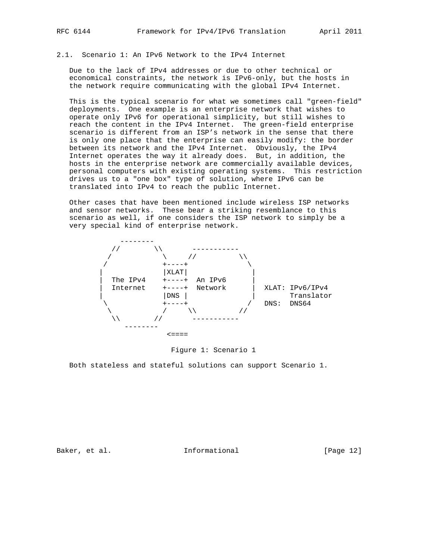#### 2.1. Scenario 1: An IPv6 Network to the IPv4 Internet

 Due to the lack of IPv4 addresses or due to other technical or economical constraints, the network is IPv6-only, but the hosts in the network require communicating with the global IPv4 Internet.

 This is the typical scenario for what we sometimes call "green-field" deployments. One example is an enterprise network that wishes to operate only IPv6 for operational simplicity, but still wishes to reach the content in the IPv4 Internet. The green-field enterprise scenario is different from an ISP's network in the sense that there is only one place that the enterprise can easily modify: the border between its network and the IPv4 Internet. Obviously, the IPv4 Internet operates the way it already does. But, in addition, the hosts in the enterprise network are commercially available devices, personal computers with existing operating systems. This restriction drives us to a "one box" type of solution, where IPv6 can be translated into IPv4 to reach the public Internet.

 Other cases that have been mentioned include wireless ISP networks and sensor networks. These bear a striking resemblance to this scenario as well, if one considers the ISP network to simply be a very special kind of enterprise network.



Figure 1: Scenario 1

Both stateless and stateful solutions can support Scenario 1.

Baker, et al. 1nformational [Page 12]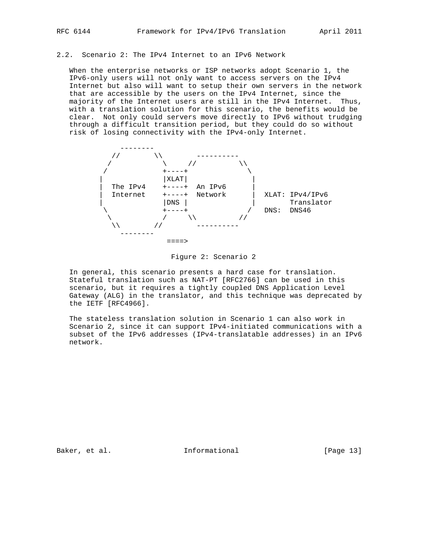## 2.2. Scenario 2: The IPv4 Internet to an IPv6 Network

 When the enterprise networks or ISP networks adopt Scenario 1, the IPv6-only users will not only want to access servers on the IPv4 Internet but also will want to setup their own servers in the network that are accessible by the users on the IPv4 Internet, since the majority of the Internet users are still in the IPv4 Internet. Thus, with a translation solution for this scenario, the benefits would be clear. Not only could servers move directly to IPv6 without trudging through a difficult transition period, but they could do so without risk of losing connectivity with the IPv4-only Internet.



Figure 2: Scenario 2

 In general, this scenario presents a hard case for translation. Stateful translation such as NAT-PT [RFC2766] can be used in this scenario, but it requires a tightly coupled DNS Application Level Gateway (ALG) in the translator, and this technique was deprecated by the IETF [RFC4966].

 The stateless translation solution in Scenario 1 can also work in Scenario 2, since it can support IPv4-initiated communications with a subset of the IPv6 addresses (IPv4-translatable addresses) in an IPv6 network.

Baker, et al. 1nformational [Page 13]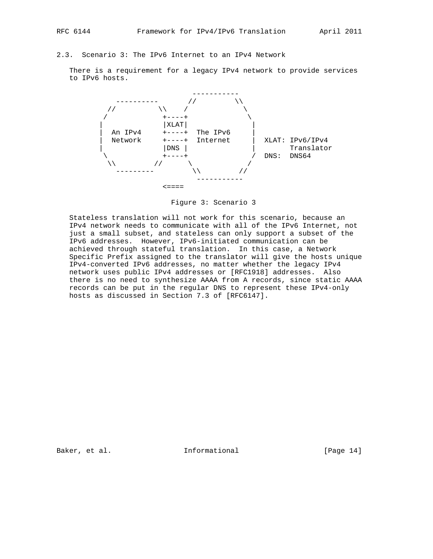## 2.3. Scenario 3: The IPv6 Internet to an IPv4 Network

 There is a requirement for a legacy IPv4 network to provide services to IPv6 hosts.



Figure 3: Scenario 3

 Stateless translation will not work for this scenario, because an IPv4 network needs to communicate with all of the IPv6 Internet, not just a small subset, and stateless can only support a subset of the IPv6 addresses. However, IPv6-initiated communication can be achieved through stateful translation. In this case, a Network Specific Prefix assigned to the translator will give the hosts unique IPv4-converted IPv6 addresses, no matter whether the legacy IPv4 network uses public IPv4 addresses or [RFC1918] addresses. Also there is no need to synthesize AAAA from A records, since static AAAA records can be put in the regular DNS to represent these IPv4-only hosts as discussed in Section 7.3 of [RFC6147].

Baker, et al. 1nformational [Page 14]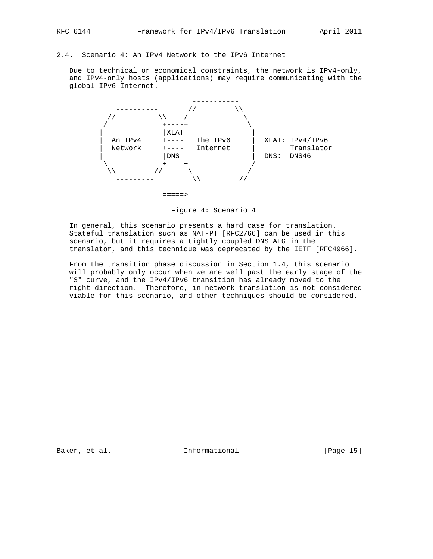## 2.4. Scenario 4: An IPv4 Network to the IPv6 Internet

 Due to technical or economical constraints, the network is IPv4-only, and IPv4-only hosts (applications) may require communicating with the global IPv6 Internet.



Figure 4: Scenario 4

 In general, this scenario presents a hard case for translation. Stateful translation such as NAT-PT [RFC2766] can be used in this scenario, but it requires a tightly coupled DNS ALG in the translator, and this technique was deprecated by the IETF [RFC4966].

 From the transition phase discussion in Section 1.4, this scenario will probably only occur when we are well past the early stage of the "S" curve, and the IPv4/IPv6 transition has already moved to the right direction. Therefore, in-network translation is not considered viable for this scenario, and other techniques should be considered.

Baker, et al. 10 Informational [Page 15]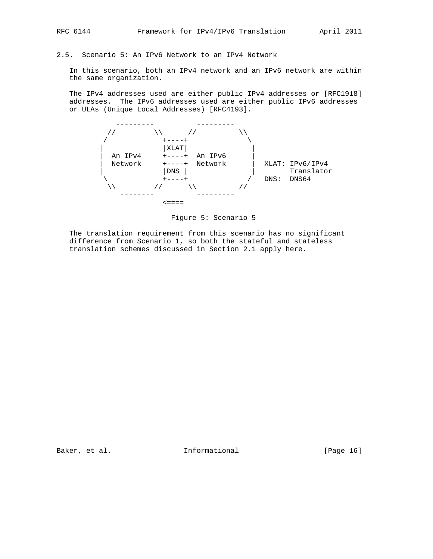## 2.5. Scenario 5: An IPv6 Network to an IPv4 Network

 In this scenario, both an IPv4 network and an IPv6 network are within the same organization.

 The IPv4 addresses used are either public IPv4 addresses or [RFC1918] addresses. The IPv6 addresses used are either public IPv6 addresses or ULAs (Unique Local Addresses) [RFC4193].



Figure 5: Scenario 5

 The translation requirement from this scenario has no significant difference from Scenario 1, so both the stateful and stateless translation schemes discussed in Section 2.1 apply here.

Baker, et al. 1nformational [Page 16]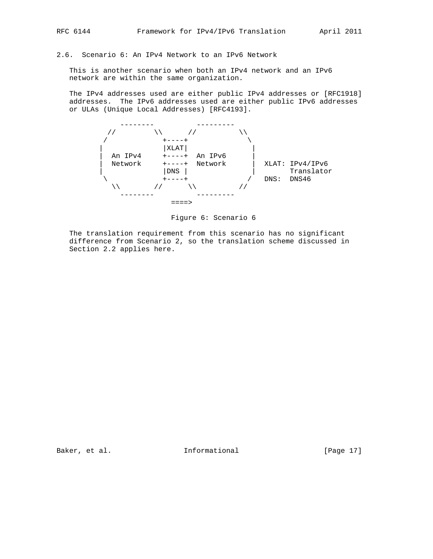#### 2.6. Scenario 6: An IPv4 Network to an IPv6 Network

 This is another scenario when both an IPv4 network and an IPv6 network are within the same organization.

 The IPv4 addresses used are either public IPv4 addresses or [RFC1918] addresses. The IPv6 addresses used are either public IPv6 addresses or ULAs (Unique Local Addresses) [RFC4193].



Figure 6: Scenario 6

 The translation requirement from this scenario has no significant difference from Scenario 2, so the translation scheme discussed in Section 2.2 applies here.

Baker, et al. 10 Informational [Page 17]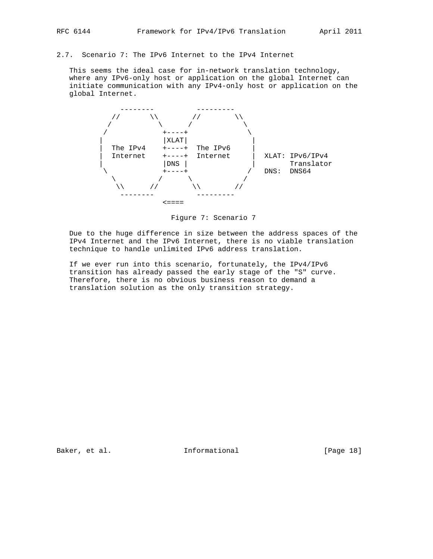2.7. Scenario 7: The IPv6 Internet to the IPv4 Internet

 This seems the ideal case for in-network translation technology, where any IPv6-only host or application on the global Internet can initiate communication with any IPv4-only host or application on the global Internet.



Figure 7: Scenario 7

 Due to the huge difference in size between the address spaces of the IPv4 Internet and the IPv6 Internet, there is no viable translation technique to handle unlimited IPv6 address translation.

 If we ever run into this scenario, fortunately, the IPv4/IPv6 transition has already passed the early stage of the "S" curve. Therefore, there is no obvious business reason to demand a translation solution as the only transition strategy.

Baker, et al. 1nformational [Page 18]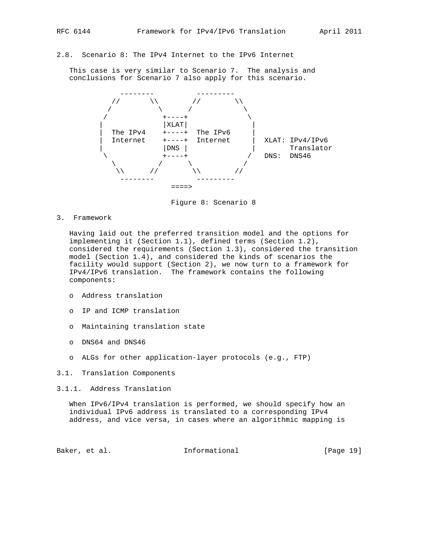# 2.8. Scenario 8: The IPv4 Internet to the IPv6 Internet

 This case is very similar to Scenario 7. The analysis and conclusions for Scenario 7 also apply for this scenario.



Figure 8: Scenario 8

3. Framework

 Having laid out the preferred transition model and the options for implementing it (Section 1.1), defined terms (Section 1.2), considered the requirements (Section 1.3), considered the transition model (Section 1.4), and considered the kinds of scenarios the facility would support (Section 2), we now turn to a framework for IPv4/IPv6 translation. The framework contains the following components:

- o Address translation
- o IP and ICMP translation
- o Maintaining translation state
- o DNS64 and DNS46
- o ALGs for other application-layer protocols (e.g., FTP)
- 3.1. Translation Components
- 3.1.1. Address Translation

 When IPv6/IPv4 translation is performed, we should specify how an individual IPv6 address is translated to a corresponding IPv4 address, and vice versa, in cases where an algorithmic mapping is

Baker, et al. Informational [Page 19]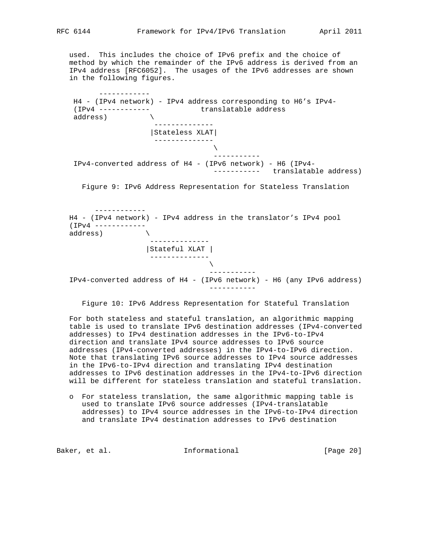used. This includes the choice of IPv6 prefix and the choice of method by which the remainder of the IPv6 address is derived from an IPv4 address [RFC6052]. The usages of the IPv6 addresses are shown in the following figures.

 H4 - (IPv4 network) - IPv4 address corresponding to H6's IPv4- (IPv4 ------------ translatable address address) \ -------------- |Stateless XLAT| --------------  $\mathcal{L}$  and  $\mathcal{L}$  are the set of  $\mathcal{L}$  ----------- IPv4-converted address of H4 - (IPv6 network) - H6 (IPv4- ----------- translatable address) Figure 9: IPv6 Address Representation for Stateless Translation ------------ H4 - (IPv4 network) - IPv4 address in the translator's IPv4 pool (IPv4 ----------- address) \

 |Stateful XLAT | --------------  $\mathcal{N}$  and the set of the set of the set of the set of the set of the set of the set of the set of the set of the set of the set of the set of the set of the set of the set of the set of the set of the set of the set of ----------- IPv4-converted address of H4 - (IPv6 network) - H6 (any IPv6 address) -----------

--------------

Figure 10: IPv6 Address Representation for Stateful Translation

 For both stateless and stateful translation, an algorithmic mapping table is used to translate IPv6 destination addresses (IPv4-converted addresses) to IPv4 destination addresses in the IPv6-to-IPv4 direction and translate IPv4 source addresses to IPv6 source addresses (IPv4-converted addresses) in the IPv4-to-IPv6 direction. Note that translating IPv6 source addresses to IPv4 source addresses in the IPv6-to-IPv4 direction and translating IPv4 destination addresses to IPv6 destination addresses in the IPv4-to-IPv6 direction will be different for stateless translation and stateful translation.

 o For stateless translation, the same algorithmic mapping table is used to translate IPv6 source addresses (IPv4-translatable addresses) to IPv4 source addresses in the IPv6-to-IPv4 direction and translate IPv4 destination addresses to IPv6 destination

Baker, et al. Informational [Page 20]

------------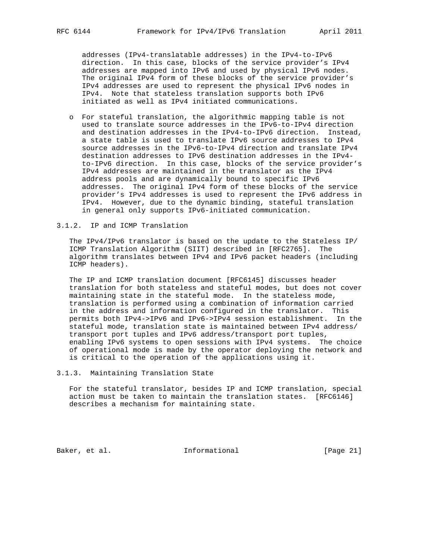addresses (IPv4-translatable addresses) in the IPv4-to-IPv6 direction. In this case, blocks of the service provider's IPv4 addresses are mapped into IPv6 and used by physical IPv6 nodes. The original IPv4 form of these blocks of the service provider's IPv4 addresses are used to represent the physical IPv6 nodes in IPv4. Note that stateless translation supports both IPv6 initiated as well as IPv4 initiated communications.

 o For stateful translation, the algorithmic mapping table is not used to translate source addresses in the IPv6-to-IPv4 direction and destination addresses in the IPv4-to-IPv6 direction. Instead, a state table is used to translate IPv6 source addresses to IPv4 source addresses in the IPv6-to-IPv4 direction and translate IPv4 destination addresses to IPv6 destination addresses in the IPv4 to-IPv6 direction. In this case, blocks of the service provider's IPv4 addresses are maintained in the translator as the IPv4 address pools and are dynamically bound to specific IPv6 addresses. The original IPv4 form of these blocks of the service provider's IPv4 addresses is used to represent the IPv6 address in IPv4. However, due to the dynamic binding, stateful translation in general only supports IPv6-initiated communication.

#### 3.1.2. IP and ICMP Translation

 The IPv4/IPv6 translator is based on the update to the Stateless IP/ ICMP Translation Algorithm (SIIT) described in [RFC2765]. The algorithm translates between IPv4 and IPv6 packet headers (including ICMP headers).

 The IP and ICMP translation document [RFC6145] discusses header translation for both stateless and stateful modes, but does not cover maintaining state in the stateful mode. In the stateless mode, translation is performed using a combination of information carried in the address and information configured in the translator. This permits both IPv4->IPv6 and IPv6->IPv4 session establishment. In the stateful mode, translation state is maintained between IPv4 address/ transport port tuples and IPv6 address/transport port tuples, enabling IPv6 systems to open sessions with IPv4 systems. The choice of operational mode is made by the operator deploying the network and is critical to the operation of the applications using it.

3.1.3. Maintaining Translation State

 For the stateful translator, besides IP and ICMP translation, special action must be taken to maintain the translation states. [RFC6146] describes a mechanism for maintaining state.

Baker, et al. 1nformational [Page 21]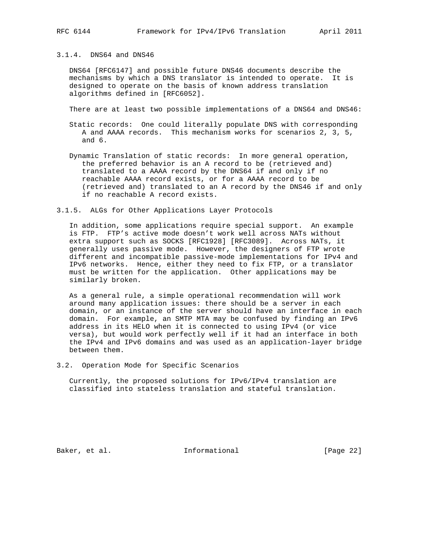#### 3.1.4. DNS64 and DNS46

 DNS64 [RFC6147] and possible future DNS46 documents describe the mechanisms by which a DNS translator is intended to operate. It is designed to operate on the basis of known address translation algorithms defined in [RFC6052].

There are at least two possible implementations of a DNS64 and DNS46:

- Static records: One could literally populate DNS with corresponding A and AAAA records. This mechanism works for scenarios 2, 3, 5, and 6.
- Dynamic Translation of static records: In more general operation, the preferred behavior is an A record to be (retrieved and) translated to a AAAA record by the DNS64 if and only if no reachable AAAA record exists, or for a AAAA record to be (retrieved and) translated to an A record by the DNS46 if and only if no reachable A record exists.

3.1.5. ALGs for Other Applications Layer Protocols

 In addition, some applications require special support. An example is FTP. FTP's active mode doesn't work well across NATs without extra support such as SOCKS [RFC1928] [RFC3089]. Across NATs, it generally uses passive mode. However, the designers of FTP wrote different and incompatible passive-mode implementations for IPv4 and IPv6 networks. Hence, either they need to fix FTP, or a translator must be written for the application. Other applications may be similarly broken.

 As a general rule, a simple operational recommendation will work around many application issues: there should be a server in each domain, or an instance of the server should have an interface in each domain. For example, an SMTP MTA may be confused by finding an IPv6 address in its HELO when it is connected to using IPv4 (or vice versa), but would work perfectly well if it had an interface in both the IPv4 and IPv6 domains and was used as an application-layer bridge between them.

3.2. Operation Mode for Specific Scenarios

 Currently, the proposed solutions for IPv6/IPv4 translation are classified into stateless translation and stateful translation.

Baker, et al. 1nformational [Page 22]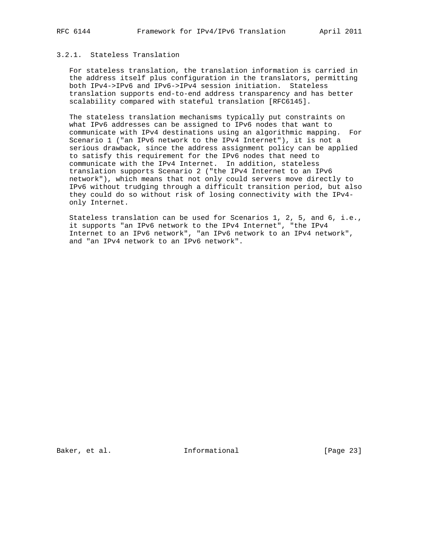## 3.2.1. Stateless Translation

 For stateless translation, the translation information is carried in the address itself plus configuration in the translators, permitting both IPv4->IPv6 and IPv6->IPv4 session initiation. Stateless translation supports end-to-end address transparency and has better scalability compared with stateful translation [RFC6145].

 The stateless translation mechanisms typically put constraints on what IPv6 addresses can be assigned to IPv6 nodes that want to communicate with IPv4 destinations using an algorithmic mapping. For Scenario 1 ("an IPv6 network to the IPv4 Internet"), it is not a serious drawback, since the address assignment policy can be applied to satisfy this requirement for the IPv6 nodes that need to communicate with the IPv4 Internet. In addition, stateless translation supports Scenario 2 ("the IPv4 Internet to an IPv6 network"), which means that not only could servers move directly to IPv6 without trudging through a difficult transition period, but also they could do so without risk of losing connectivity with the IPv4 only Internet.

 Stateless translation can be used for Scenarios 1, 2, 5, and 6, i.e., it supports "an IPv6 network to the IPv4 Internet", "the IPv4 Internet to an IPv6 network", "an IPv6 network to an IPv4 network", and "an IPv4 network to an IPv6 network".

Baker, et al. 1nformational [Page 23]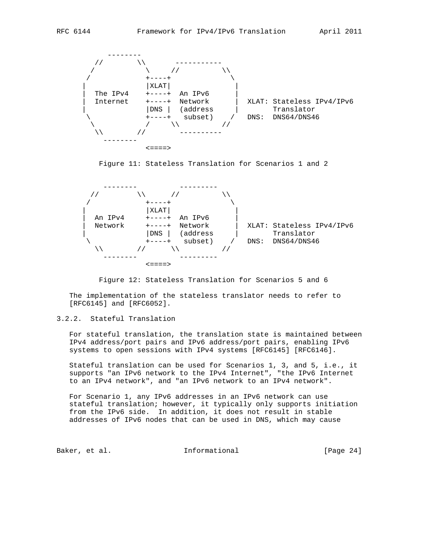



Figure 11: Stateless Translation for Scenarios 1 and 2



Figure 12: Stateless Translation for Scenarios 5 and 6

 The implementation of the stateless translator needs to refer to [RFC6145] and [RFC6052].

## 3.2.2. Stateful Translation

 For stateful translation, the translation state is maintained between IPv4 address/port pairs and IPv6 address/port pairs, enabling IPv6 systems to open sessions with IPv4 systems [RFC6145] [RFC6146].

 Stateful translation can be used for Scenarios 1, 3, and 5, i.e., it supports "an IPv6 network to the IPv4 Internet", "the IPv6 Internet to an IPv4 network", and "an IPv6 network to an IPv4 network".

 For Scenario 1, any IPv6 addresses in an IPv6 network can use stateful translation; however, it typically only supports initiation from the IPv6 side. In addition, it does not result in stable addresses of IPv6 nodes that can be used in DNS, which may cause

Baker, et al. 10 methormational [Page 24]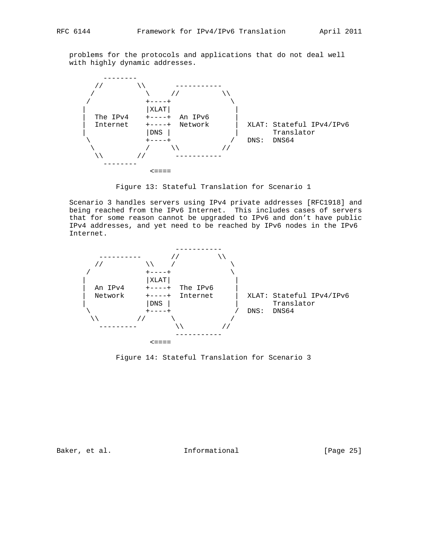problems for the protocols and applications that do not deal well with highly dynamic addresses.



Figure 13: Stateful Translation for Scenario 1

 Scenario 3 handles servers using IPv4 private addresses [RFC1918] and being reached from the IPv6 Internet. This includes cases of servers that for some reason cannot be upgraded to IPv6 and don't have public IPv4 addresses, and yet need to be reached by IPv6 nodes in the IPv6 Internet.



Figure 14: Stateful Translation for Scenario 3

Baker, et al. 1nformational [Page 25]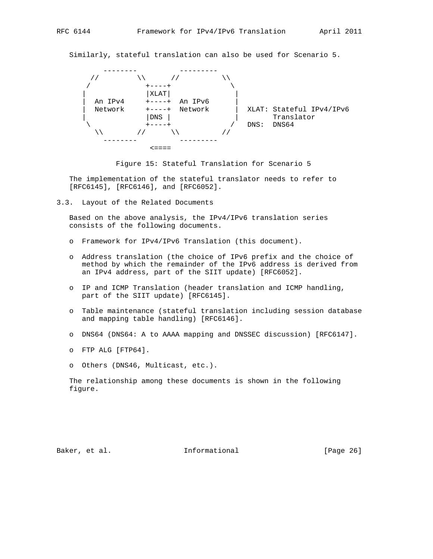Similarly, stateful translation can also be used for Scenario 5.





 The implementation of the stateful translator needs to refer to [RFC6145], [RFC6146], and [RFC6052].

3.3. Layout of the Related Documents

 Based on the above analysis, the IPv4/IPv6 translation series consists of the following documents.

- o Framework for IPv4/IPv6 Translation (this document).
- o Address translation (the choice of IPv6 prefix and the choice of method by which the remainder of the IPv6 address is derived from an IPv4 address, part of the SIIT update) [RFC6052].
- o IP and ICMP Translation (header translation and ICMP handling, part of the SIIT update) [RFC6145].
- o Table maintenance (stateful translation including session database and mapping table handling) [RFC6146].
- o DNS64 (DNS64: A to AAAA mapping and DNSSEC discussion) [RFC6147].
- o FTP ALG [FTP64].
- o Others (DNS46, Multicast, etc.).

 The relationship among these documents is shown in the following figure.

Baker, et al. 10 methormational [Page 26]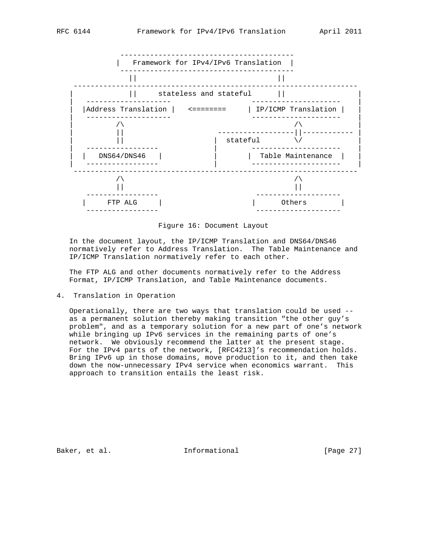

Figure 16: Document Layout

 In the document layout, the IP/ICMP Translation and DNS64/DNS46 normatively refer to Address Translation. The Table Maintenance and IP/ICMP Translation normatively refer to each other.

 The FTP ALG and other documents normatively refer to the Address Format, IP/ICMP Translation, and Table Maintenance documents.

4. Translation in Operation

 Operationally, there are two ways that translation could be used - as a permanent solution thereby making transition "the other guy's problem", and as a temporary solution for a new part of one's network while bringing up IPv6 services in the remaining parts of one's network. We obviously recommend the latter at the present stage. For the IPv4 parts of the network, [RFC4213]'s recommendation holds. Bring IPv6 up in those domains, move production to it, and then take down the now-unnecessary IPv4 service when economics warrant. This approach to transition entails the least risk.

Baker, et al. 10 methormational [Page 27]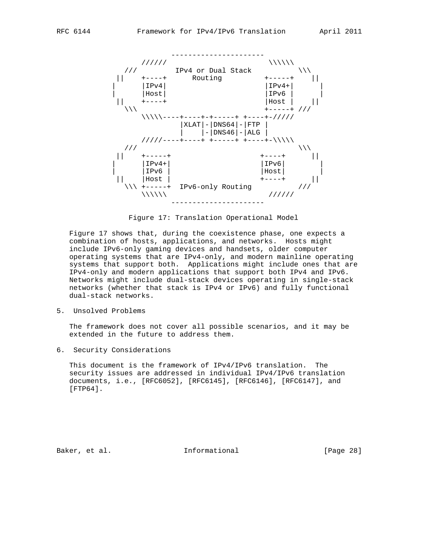

Figure 17: Translation Operational Model

 Figure 17 shows that, during the coexistence phase, one expects a combination of hosts, applications, and networks. Hosts might include IPv6-only gaming devices and handsets, older computer operating systems that are IPv4-only, and modern mainline operating systems that support both. Applications might include ones that are IPv4-only and modern applications that support both IPv4 and IPv6. Networks might include dual-stack devices operating in single-stack networks (whether that stack is IPv4 or IPv6) and fully functional dual-stack networks.

5. Unsolved Problems

 The framework does not cover all possible scenarios, and it may be extended in the future to address them.

6. Security Considerations

 This document is the framework of IPv4/IPv6 translation. The security issues are addressed in individual IPv4/IPv6 translation documents, i.e., [RFC6052], [RFC6145], [RFC6146], [RFC6147], and [FTP64].

Baker, et al. 10 methormational [Page 28]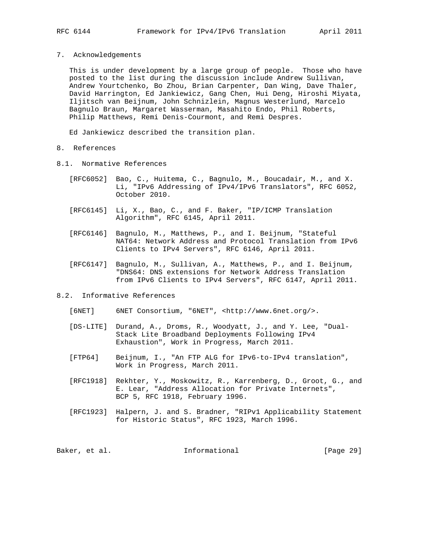7. Acknowledgements

 This is under development by a large group of people. Those who have posted to the list during the discussion include Andrew Sullivan, Andrew Yourtchenko, Bo Zhou, Brian Carpenter, Dan Wing, Dave Thaler, David Harrington, Ed Jankiewicz, Gang Chen, Hui Deng, Hiroshi Miyata, Iljitsch van Beijnum, John Schnizlein, Magnus Westerlund, Marcelo Bagnulo Braun, Margaret Wasserman, Masahito Endo, Phil Roberts, Philip Matthews, Remi Denis-Courmont, and Remi Despres.

Ed Jankiewicz described the transition plan.

- 8. References
- 8.1. Normative References
	- [RFC6052] Bao, C., Huitema, C., Bagnulo, M., Boucadair, M., and X. Li, "IPv6 Addressing of IPv4/IPv6 Translators", RFC 6052, October 2010.
	- [RFC6145] Li, X., Bao, C., and F. Baker, "IP/ICMP Translation Algorithm", RFC 6145, April 2011.
	- [RFC6146] Bagnulo, M., Matthews, P., and I. Beijnum, "Stateful NAT64: Network Address and Protocol Translation from IPv6 Clients to IPv4 Servers", RFC 6146, April 2011.
	- [RFC6147] Bagnulo, M., Sullivan, A., Matthews, P., and I. Beijnum, "DNS64: DNS extensions for Network Address Translation from IPv6 Clients to IPv4 Servers", RFC 6147, April 2011.
- 8.2. Informative References
	- [6NET] 6NET Consortium, "6NET", <http://www.6net.org/>.
	- [DS-LITE] Durand, A., Droms, R., Woodyatt, J., and Y. Lee, "Dual- Stack Lite Broadband Deployments Following IPv4 Exhaustion", Work in Progress, March 2011.
	- [FTP64] Beijnum, I., "An FTP ALG for IPv6-to-IPv4 translation", Work in Progress, March 2011.
	- [RFC1918] Rekhter, Y., Moskowitz, R., Karrenberg, D., Groot, G., and E. Lear, "Address Allocation for Private Internets", BCP 5, RFC 1918, February 1996.
	- [RFC1923] Halpern, J. and S. Bradner, "RIPv1 Applicability Statement for Historic Status", RFC 1923, March 1996.

Baker, et al. Informational [Page 29]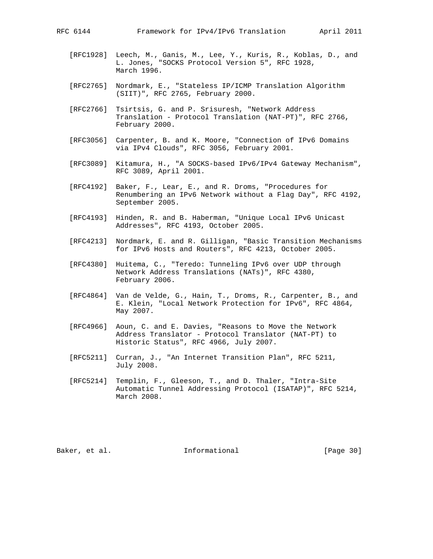- [RFC1928] Leech, M., Ganis, M., Lee, Y., Kuris, R., Koblas, D., and L. Jones, "SOCKS Protocol Version 5", RFC 1928, March 1996.
- [RFC2765] Nordmark, E., "Stateless IP/ICMP Translation Algorithm (SIIT)", RFC 2765, February 2000.
- [RFC2766] Tsirtsis, G. and P. Srisuresh, "Network Address Translation - Protocol Translation (NAT-PT)", RFC 2766, February 2000.
- [RFC3056] Carpenter, B. and K. Moore, "Connection of IPv6 Domains via IPv4 Clouds", RFC 3056, February 2001.
- [RFC3089] Kitamura, H., "A SOCKS-based IPv6/IPv4 Gateway Mechanism", RFC 3089, April 2001.
- [RFC4192] Baker, F., Lear, E., and R. Droms, "Procedures for Renumbering an IPv6 Network without a Flag Day", RFC 4192, September 2005.
- [RFC4193] Hinden, R. and B. Haberman, "Unique Local IPv6 Unicast Addresses", RFC 4193, October 2005.
- [RFC4213] Nordmark, E. and R. Gilligan, "Basic Transition Mechanisms for IPv6 Hosts and Routers", RFC 4213, October 2005.
- [RFC4380] Huitema, C., "Teredo: Tunneling IPv6 over UDP through Network Address Translations (NATs)", RFC 4380, February 2006.
- [RFC4864] Van de Velde, G., Hain, T., Droms, R., Carpenter, B., and E. Klein, "Local Network Protection for IPv6", RFC 4864, May 2007.
- [RFC4966] Aoun, C. and E. Davies, "Reasons to Move the Network Address Translator - Protocol Translator (NAT-PT) to Historic Status", RFC 4966, July 2007.
- [RFC5211] Curran, J., "An Internet Transition Plan", RFC 5211, July 2008.
- [RFC5214] Templin, F., Gleeson, T., and D. Thaler, "Intra-Site Automatic Tunnel Addressing Protocol (ISATAP)", RFC 5214, March 2008.

Baker, et al. 10 methormational [Page 30]